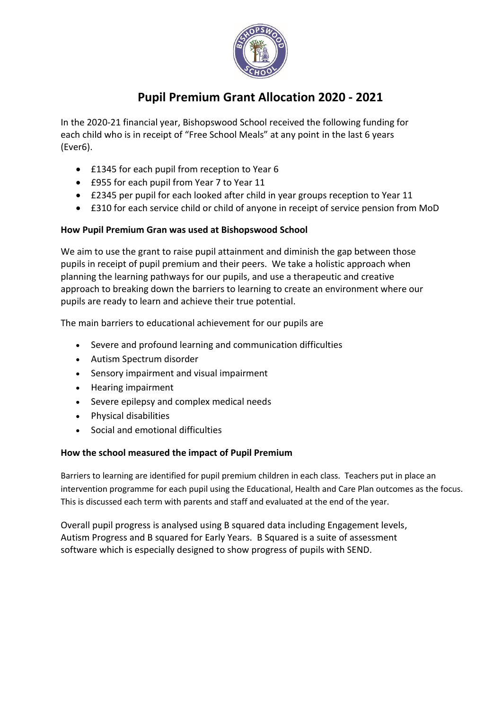

## **Pupil Premium Grant Allocation 2020 - 2021**

In the 2020-21 financial year, Bishopswood School received the following funding for each child who is in receipt of "Free School Meals" at any point in the last 6 years (Ever6).

- £1345 for each pupil from reception to Year 6
- £955 for each pupil from Year 7 to Year 11
- £2345 per pupil for each looked after child in year groups reception to Year 11
- £310 for each service child or child of anyone in receipt of service pension from MoD

## **How Pupil Premium Gran was used at Bishopswood School**

We aim to use the grant to raise pupil attainment and diminish the gap between those pupils in receipt of pupil premium and their peers. We take a holistic approach when planning the learning pathways for our pupils, and use a therapeutic and creative approach to breaking down the barriers to learning to create an environment where our pupils are ready to learn and achieve their true potential.

The main barriers to educational achievement for our pupils are

- Severe and profound learning and communication difficulties
- Autism Spectrum disorder
- Sensory impairment and visual impairment
- Hearing impairment
- Severe epilepsy and complex medical needs
- Physical disabilities
- Social and emotional difficulties

## **How the school measured the impact of Pupil Premium**

Barriers to learning are identified for pupil premium children in each class. Teachers put in place an intervention programme for each pupil using the Educational, Health and Care Plan outcomes as the focus. This is discussed each term with parents and staff and evaluated at the end of the year.

Overall pupil progress is analysed using B squared data including Engagement levels, Autism Progress and B squared for Early Years. B Squared is a suite of assessment software which is especially designed to show progress of pupils with SEND.